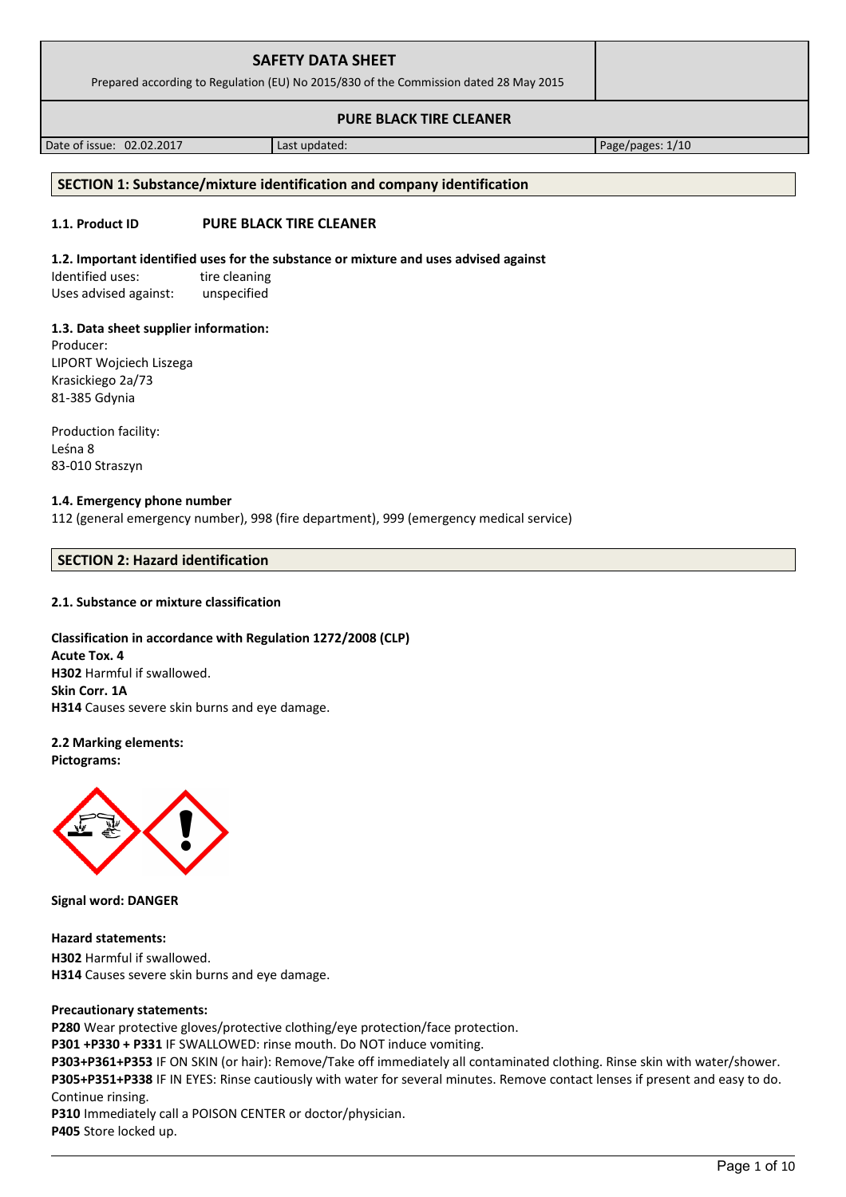| <b>SAFETY DATA SHEET</b><br>Prepared according to Regulation (EU) No 2015/830 of the Commission dated 28 May 2015 |  |
|-------------------------------------------------------------------------------------------------------------------|--|
| <b>PURE BLACK TIRE CLEANER</b>                                                                                    |  |

Date of issue: 02.02.2017 Last updated: Page/pages: 1/10

# **SECTION 1: Substance/mixture identification and company identification**

# **1.1. Product ID PURE BLACK TIRE CLEANER**

## **1.2. Important identified uses for the substance or mixture and uses advised against**

Identified uses: tire cleaning Uses advised against: unspecified

# **1.3. Data sheet supplier information:**

Producer: LIPORT Wojciech Liszega Krasickiego 2a/73 81-385 Gdynia

Production facility: Leśna 8 83-010 Straszyn

# **1.4. Emergency phone number**

112 (general emergency number), 998 (fire department), 999 (emergency medical service)

# **SECTION 2: Hazard identification**

# **2.1. Substance or mixture classification**

# **Classification in accordance with Regulation 1272/2008 (CLP)**

**Acute Tox. 4 H302** Harmful if swallowed. **Skin Corr. 1A H314** Causes severe skin burns and eye damage.

**2.2 Marking elements: Pictograms:**



**Signal word: DANGER**

**Hazard statements: H302** Harmful if swallowed. **H314** Causes severe skin burns and eye damage.

# **Precautionary statements:**

**P280** Wear protective gloves/protective clothing/eye protection/face protection.

**P301 +P330 + P331** IF SWALLOWED: rinse mouth. Do NOT induce vomiting.

**P303+P361+P353** IF ON SKIN (or hair): Remove/Take off immediately all contaminated clothing. Rinse skin with water/shower. **P305+P351+P338** IF IN EYES: Rinse cautiously with water for several minutes. Remove contact lenses if present and easy to do. Continue rinsing.

**P310** Immediately call a POISON CENTER or doctor/physician. **P405** Store locked up.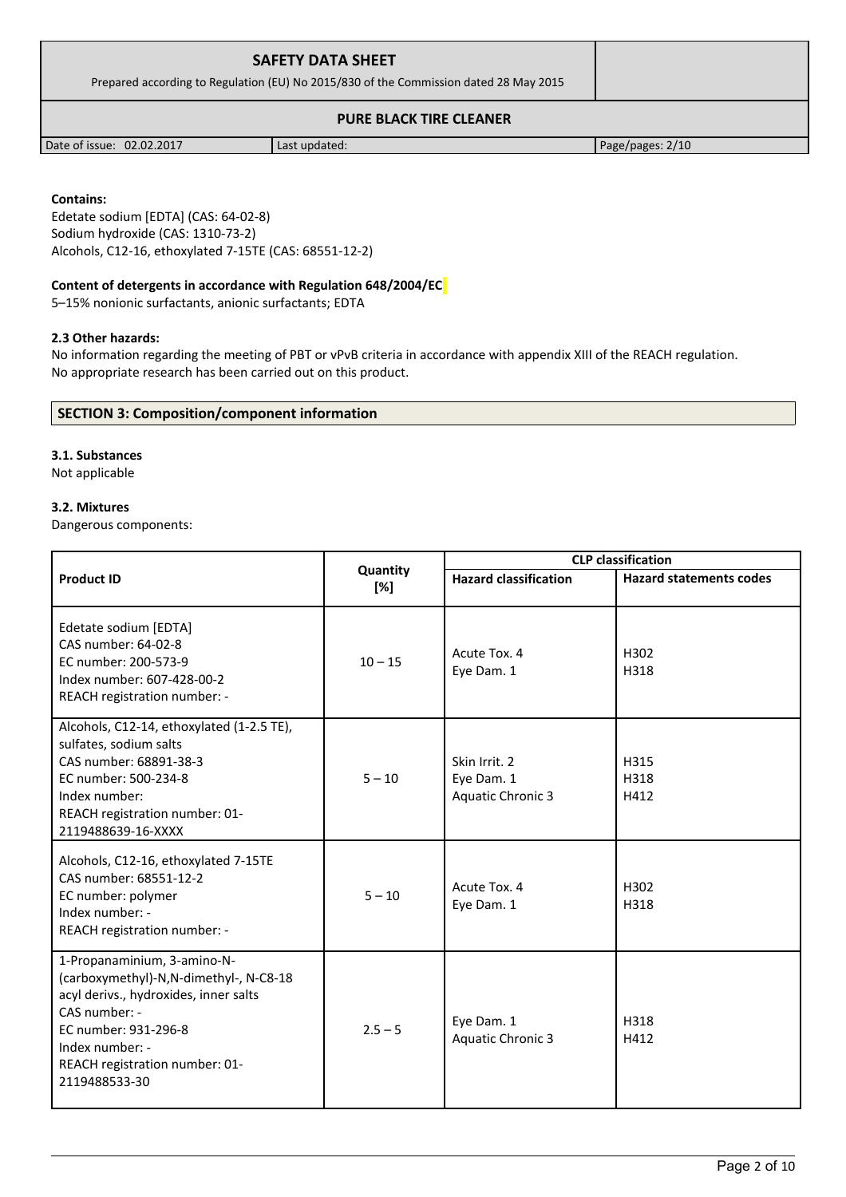| <b>SAFETY DATA SHEET</b>                                                              |  |
|---------------------------------------------------------------------------------------|--|
| Prepared according to Regulation (EU) No 2015/830 of the Commission dated 28 May 2015 |  |
| <b>PURE BLACK TIRE CLEANER</b>                                                        |  |

Date of issue: 02.02.2017 | Last updated: Page/pages: 2/10

### **Contains:**

Edetate sodium [EDTA] (CAS: 64-02-8) Sodium hydroxide (CAS: 1310-73-2) Alcohols, C12-16, ethoxylated 7-15TE (CAS: 68551-12-2)

## **Content of detergents in accordance with Regulation 648/2004/EC**

5–15% nonionic surfactants, anionic surfactants; EDTA

## **2.3 Other hazards:**

No information regarding the meeting of PBT or vPvB criteria in accordance with appendix XIII of the REACH regulation. No appropriate research has been carried out on this product.

## **SECTION 3: Composition/component information**

#### **3.1. Substances**

Not applicable

## **3.2. Mixtures**

Dangerous components:

|                                                                                                                                                                                                                               |                 | <b>CLP</b> classification                               |                                |
|-------------------------------------------------------------------------------------------------------------------------------------------------------------------------------------------------------------------------------|-----------------|---------------------------------------------------------|--------------------------------|
| <b>Product ID</b>                                                                                                                                                                                                             | Quantity<br>[%] | <b>Hazard classification</b>                            | <b>Hazard statements codes</b> |
| Edetate sodium [EDTA]<br>CAS number: 64-02-8<br>EC number: 200-573-9<br>Index number: 607-428-00-2<br>REACH registration number: -                                                                                            | $10 - 15$       | Acute Tox. 4<br>Eye Dam. 1                              | H302<br>H318                   |
| Alcohols, C12-14, ethoxylated (1-2.5 TE),<br>sulfates, sodium salts<br>CAS number: 68891-38-3<br>EC number: 500-234-8<br>Index number:<br>REACH registration number: 01-<br>2119488639-16-XXXX                                | $5 - 10$        | Skin Irrit. 2<br>Eye Dam. 1<br><b>Aquatic Chronic 3</b> | H315<br>H318<br>H412           |
| Alcohols, C12-16, ethoxylated 7-15TE<br>CAS number: 68551-12-2<br>EC number: polymer<br>Index number: -<br>REACH registration number: -                                                                                       | $5 - 10$        | Acute Tox. 4<br>Eye Dam. 1                              | H302<br>H318                   |
| 1-Propanaminium, 3-amino-N-<br>(carboxymethyl)-N,N-dimethyl-, N-C8-18<br>acyl derivs., hydroxides, inner salts<br>CAS number: -<br>EC number: 931-296-8<br>Index number: -<br>REACH registration number: 01-<br>2119488533-30 | $2.5 - 5$       | Eye Dam. 1<br><b>Aquatic Chronic 3</b>                  | H318<br>H412                   |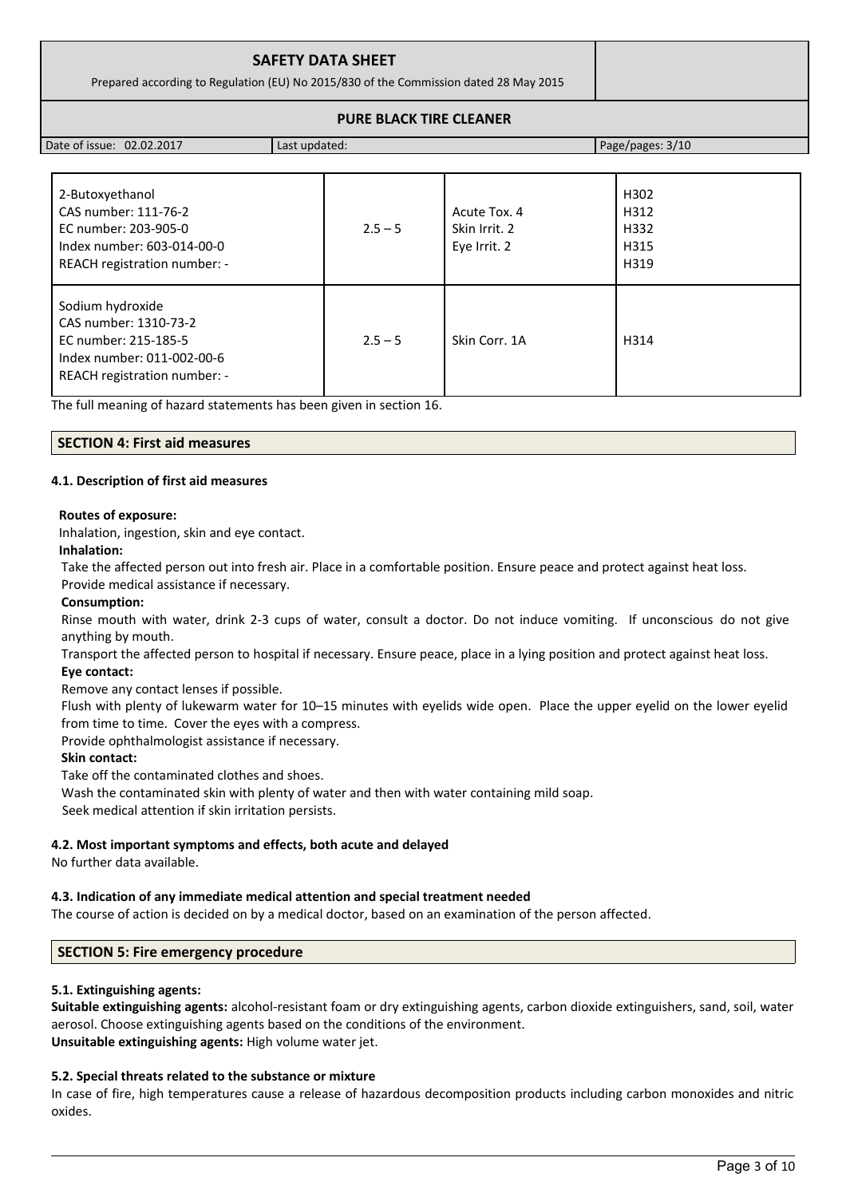| <b>SAFETY DATA SHEET</b><br>Prepared according to Regulation (EU) No 2015/830 of the Commission dated 28 May 2015 |  |
|-------------------------------------------------------------------------------------------------------------------|--|
| <b>PURE BLACK TIRE CLEANER</b>                                                                                    |  |

| Date of issue: 02.02.2017                                                                                                                                                                             | Last updated: |                                               | Page/pages: 3/10                     |
|-------------------------------------------------------------------------------------------------------------------------------------------------------------------------------------------------------|---------------|-----------------------------------------------|--------------------------------------|
|                                                                                                                                                                                                       |               |                                               |                                      |
| 2-Butoxyethanol<br>CAS number: 111-76-2<br>EC number: 203-905-0<br>Index number: 603-014-00-0<br>REACH registration number: -                                                                         | $2.5 - 5$     | Acute Tox. 4<br>Skin Irrit, 2<br>Eye Irrit. 2 | H302<br>H312<br>H332<br>H315<br>H319 |
| Sodium hydroxide<br>CAS number: 1310-73-2<br>EC number: 215-185-5<br>Index number: 011-002-00-6<br>REACH registration number: -<br>The full meaning of hazard statements has been given in section 16 | $2.5 - 5$     | Skin Corr. 1A                                 | H314                                 |

The full meaning of hazard statements has been given in section 16.

#### **SECTION 4: First aid measures**

#### **4.1. Description of first aid measures**

#### **Routes of exposure:**

Inhalation, ingestion, skin and eye contact.

#### **Inhalation:**

Take the affected person out into fresh air. Place in a comfortable position. Ensure peace and protect against heat loss.

# Provide medical assistance if necessary.

## **Consumption:**

Rinse mouth with water, drink 2-3 cups of water, consult a doctor. Do not induce vomiting. If unconscious do not give anything by mouth.

Transport the affected person to hospital if necessary. Ensure peace, place in a lying position and protect against heat loss. **Eye contact:**

Remove any contact lenses if possible.

Flush with plenty of lukewarm water for 10–15 minutes with eyelids wide open. Place the upper eyelid on the lower eyelid from time to time. Cover the eyes with a compress.

Provide ophthalmologist assistance if necessary.

#### **Skin contact:**

Take off the contaminated clothes and shoes.

Wash the contaminated skin with plenty of water and then with water containing mild soap.

Seek medical attention if skin irritation persists.

#### **4.2. Most important symptoms and effects, both acute and delayed**

No further data available.

#### **4.3. Indication of any immediate medical attention and special treatment needed**

The course of action is decided on by a medical doctor, based on an examination of the person affected.

#### **SECTION 5: Fire emergency procedure**

#### **5.1. Extinguishing agents:**

**Suitable extinguishing agents:** alcohol-resistant foam or dry extinguishing agents, carbon dioxide extinguishers, sand, soil, water aerosol. Choose extinguishing agents based on the conditions of the environment. **Unsuitable extinguishing agents:** High volume water jet.

#### **5.2. Special threats related to the substance or mixture**

In case of fire, high temperatures cause a release of hazardous decomposition products including carbon monoxides and nitric oxides.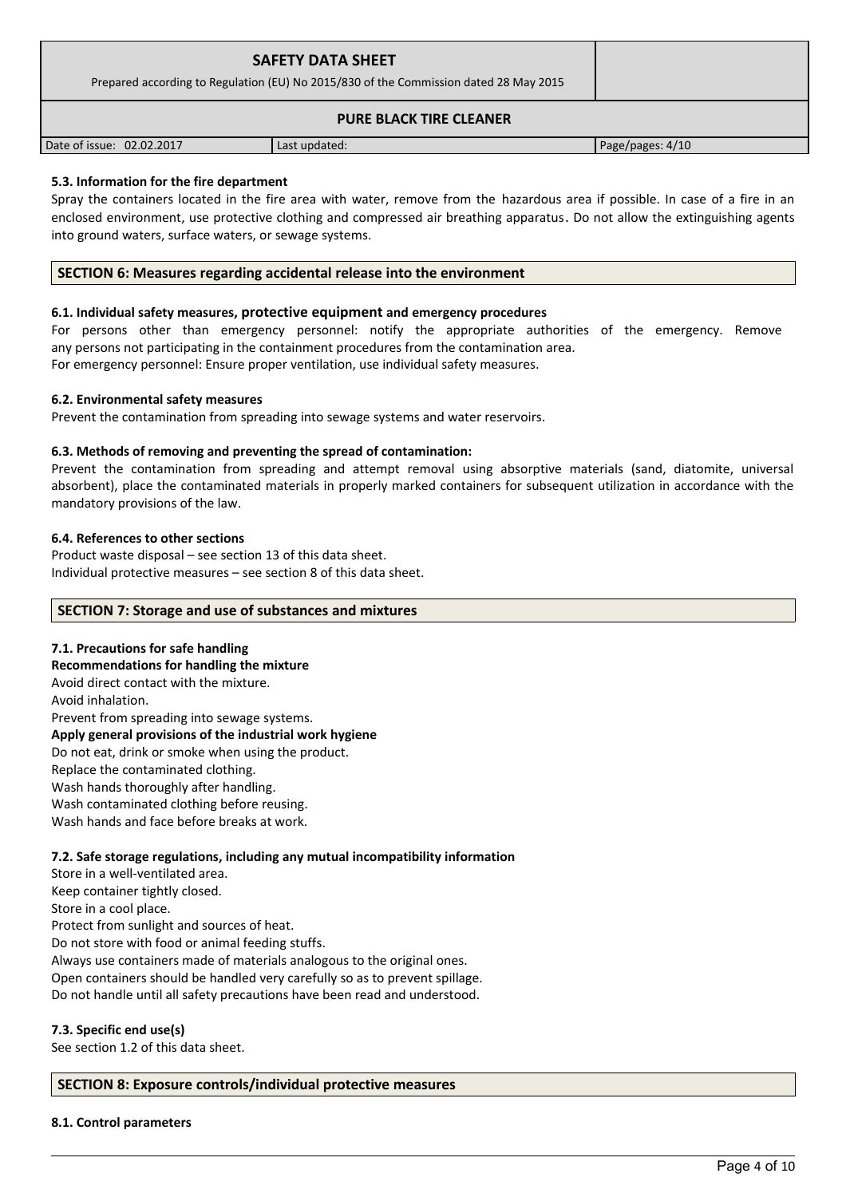| <b>SAFETY DATA SHEET</b><br>Prepared according to Regulation (EU) No 2015/830 of the Commission dated 28 May 2015 |               |                  |
|-------------------------------------------------------------------------------------------------------------------|---------------|------------------|
| <b>PURE BLACK TIRE CLEANER</b>                                                                                    |               |                  |
| Date of issue: 02.02.2017                                                                                         | Last updated: | Page/pages: 4/10 |

## **5.3. Information for the fire department**

Spray the containers located in the fire area with water, remove from the hazardous area if possible. In case of a fire in an enclosed environment, use protective clothing and compressed air breathing apparatus. Do not allow the extinguishing agents into ground waters, surface waters, or sewage systems.

## **SECTION 6: Measures regarding accidental release into the environment**

#### **6.1. Individual safety measures, protective equipment and emergency procedures**

For persons other than emergency personnel: notify the appropriate authorities of the emergency. Remove any persons not participating in the containment procedures from the contamination area. For emergency personnel: Ensure proper ventilation, use individual safety measures.

#### **6.2. Environmental safety measures**

Prevent the contamination from spreading into sewage systems and water reservoirs.

#### **6.3. Methods of removing and preventing the spread of contamination:**

Prevent the contamination from spreading and attempt removal using absorptive materials (sand, diatomite, universal absorbent), place the contaminated materials in properly marked containers for subsequent utilization in accordance with the mandatory provisions of the law.

#### **6.4. References to other sections**

Product waste disposal – see section 13 of this data sheet. Individual protective measures – see section 8 of this data sheet.

#### **SECTION 7: Storage and use of substances and mixtures**

#### **7.1. Precautions for safe handling**

**Recommendations for handling the mixture**  Avoid direct contact with the mixture. Avoid inhalation. Prevent from spreading into sewage systems. **Apply general provisions of the industrial work hygiene**  Do not eat, drink or smoke when using the product. Replace the contaminated clothing. Wash hands thoroughly after handling. Wash contaminated clothing before reusing. Wash hands and face before breaks at work.

#### **7.2. Safe storage regulations, including any mutual incompatibility information**

Store in a well-ventilated area.

Keep container tightly closed.

Store in a cool place.

Protect from sunlight and sources of heat.

Do not store with food or animal feeding stuffs.

Always use containers made of materials analogous to the original ones.

Open containers should be handled very carefully so as to prevent spillage.

Do not handle until all safety precautions have been read and understood.

#### **7.3. Specific end use(s)**

See section 1.2 of this data sheet.

#### **SECTION 8: Exposure controls/individual protective measures**

#### **8.1. Control parameters**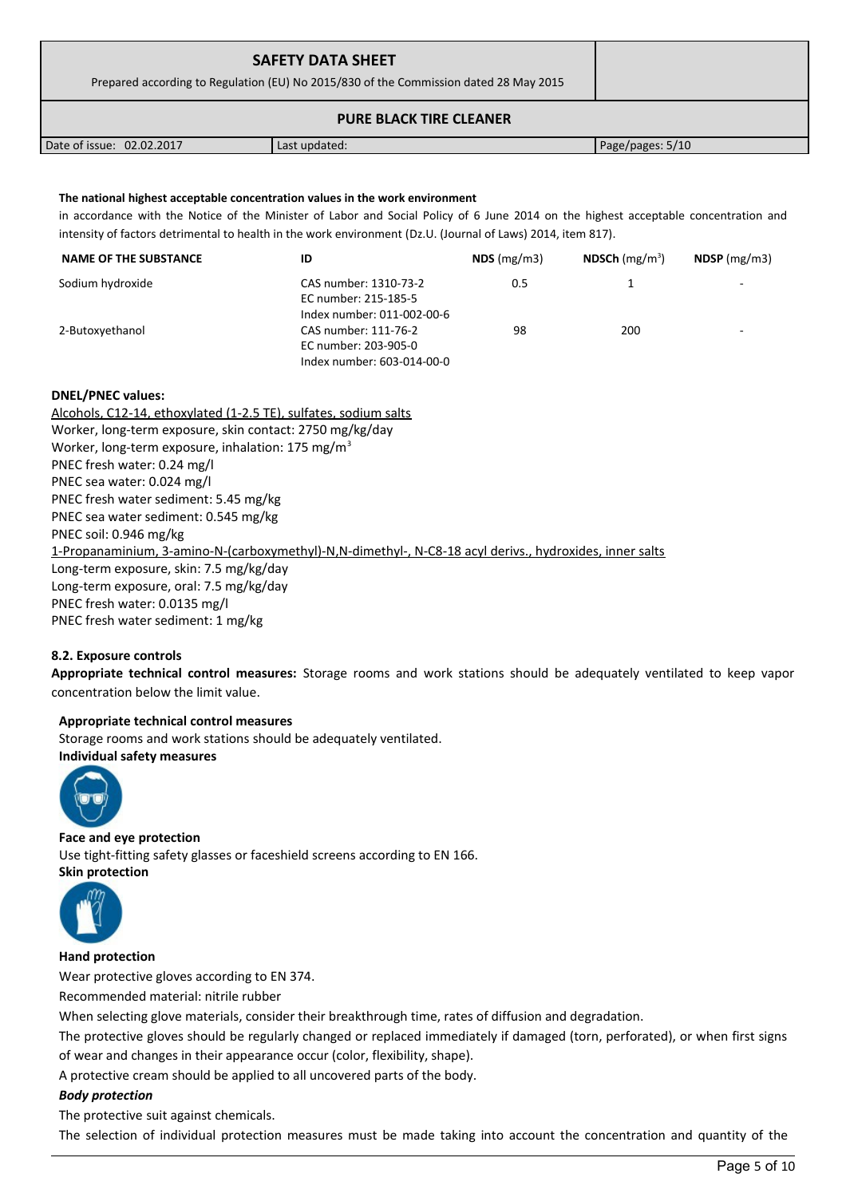| <b>SAFETY DATA SHEET</b><br>Prepared according to Regulation (EU) No 2015/830 of the Commission dated 28 May 2015 |               |                  |
|-------------------------------------------------------------------------------------------------------------------|---------------|------------------|
| <b>PURE BLACK TIRE CLEANER</b>                                                                                    |               |                  |
| Date of issue: 02.02.2017                                                                                         | Last updated: | Page/pages: 5/10 |

### **The national highest acceptable concentration values in the work environment**

in accordance with the Notice of the Minister of Labor and Social Policy of 6 June 2014 on the highest acceptable concentration and intensity of factors detrimental to health in the work environment (Dz.U. (Journal of Laws) 2014, item 817).

| <b>NAME OF THE SUBSTANCE</b> | ID                         | NDS(mg/m3) | NDSCh $(mg/m^3)$ | $NDSP$ (mg/m3) |
|------------------------------|----------------------------|------------|------------------|----------------|
| Sodium hydroxide             | CAS number: 1310-73-2      | 0.5        |                  | -              |
|                              | EC number: 215-185-5       |            |                  |                |
|                              | Index number: 011-002-00-6 |            |                  |                |
| 2-Butoxyethanol              | CAS number: 111-76-2       | 98         | 200              | ۰              |
|                              | EC number: 203-905-0       |            |                  |                |
|                              | Index number: 603-014-00-0 |            |                  |                |

#### **DNEL/PNEC values:**

Alcohols, C12-14, ethoxylated (1-2.5 TE), sulfates, sodium salts Worker, long-term exposure, skin contact: 2750 mg/kg/day Worker, long-term exposure, inhalation: 175 mg/m<sup>3</sup> PNEC fresh water: 0.24 mg/l PNEC sea water: 0.024 mg/l PNEC fresh water sediment: 5.45 mg/kg PNEC sea water sediment: 0.545 mg/kg PNEC soil: 0.946 mg/kg 1-Propanaminium, 3-amino-N-(carboxymethyl)-N,N-dimethyl-, N-C8-18 acyl derivs., hydroxides, inner salts Long-term exposure, skin: 7.5 mg/kg/day Long-term exposure, oral: 7.5 mg/kg/day PNEC fresh water: 0.0135 mg/l PNEC fresh water sediment: 1 mg/kg

#### **8.2. Exposure controls**

**Appropriate technical control measures:** Storage rooms and work stations should be adequately ventilated to keep vapor concentration below the limit value.

#### **Appropriate technical control measures**

Storage rooms and work stations should be adequately ventilated. **Individual safety measures** 



**Face and eye protection** Use tight-fitting safety glasses or faceshield screens according to EN 166. **Skin protection** 



**Hand protection**

Wear protective gloves according to EN 374.

Recommended material: nitrile rubber

When selecting glove materials, consider their breakthrough time, rates of diffusion and degradation.

The protective gloves should be regularly changed or replaced immediately if damaged (torn, perforated), or when first signs of wear and changes in their appearance occur (color, flexibility, shape).

A protective cream should be applied to all uncovered parts of the body.

#### *Body protection*

The protective suit against chemicals.

The selection of individual protection measures must be made taking into account the concentration and quantity of the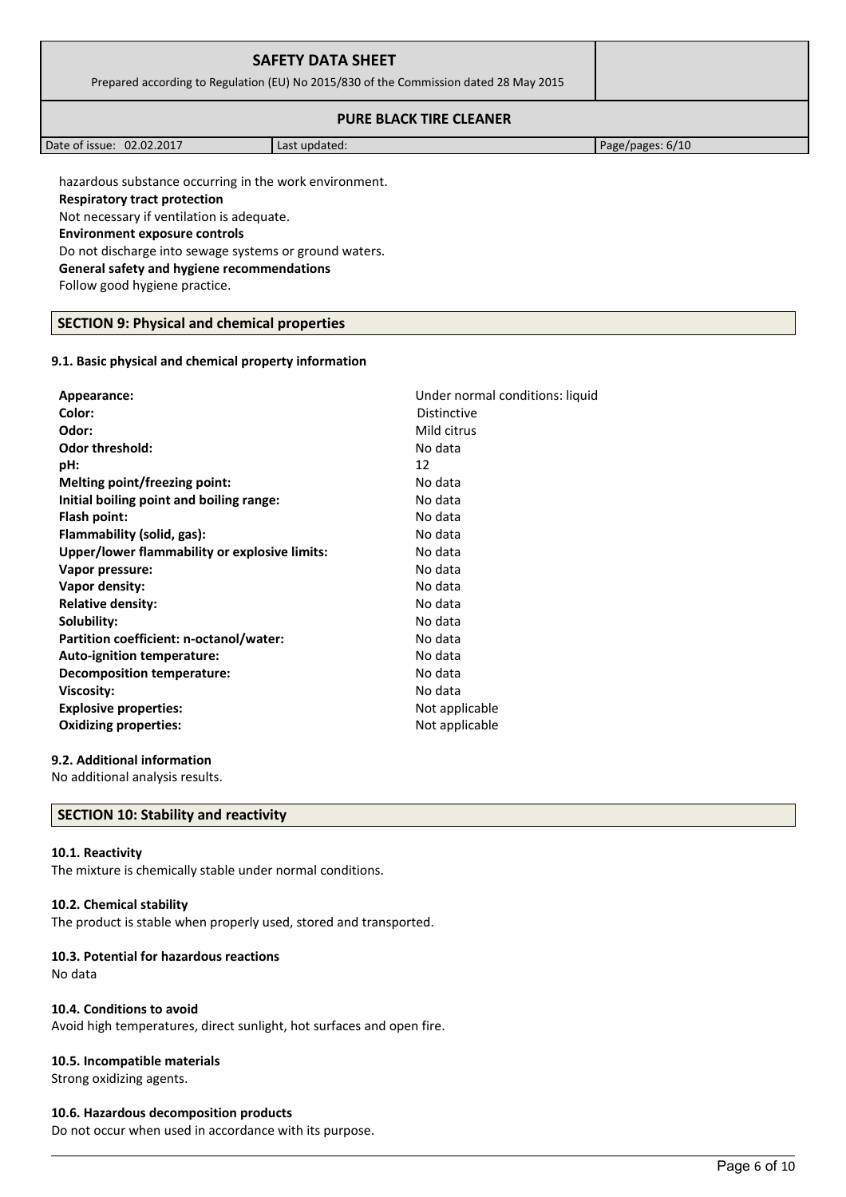| <b>SAFETY DATA SHEET</b><br>Prepared according to Regulation (EU) No 2015/830 of the Commission dated 28 May 2015 |  |
|-------------------------------------------------------------------------------------------------------------------|--|
| <b>PURE BLACK TIRE CLEANER</b>                                                                                    |  |

| 02.02.2017<br>Date of issue: | Last updated: | Page/pages: 6/10 |
|------------------------------|---------------|------------------|

hazardous substance occurring in the work environment.

#### **Respiratory tract protection**

Not necessary if ventilation is adequate.

**Environment exposure controls** 

Do not discharge into sewage systems or ground waters.

**General safety and hygiene recommendations**

Follow good hygiene practice.

#### **SECTION 9: Physical and chemical properties**

#### **9.1. Basic physical and chemical property information**

| Appearance:                                   | Under normal conditions: liquid |
|-----------------------------------------------|---------------------------------|
| Color:                                        | Distinctive                     |
| Odor:                                         | Mild citrus                     |
| <b>Odor threshold:</b>                        | No data                         |
| pH:                                           | 12                              |
| Melting point/freezing point:                 | No data                         |
| Initial boiling point and boiling range:      | No data                         |
| Flash point:                                  | No data                         |
| Flammability (solid, gas):                    | No data                         |
| Upper/lower flammability or explosive limits: | No data                         |
| Vapor pressure:                               | No data                         |
| Vapor density:                                | No data                         |
| <b>Relative density:</b>                      | No data                         |
| Solubility:                                   | No data                         |
| Partition coefficient: n-octanol/water:       | No data                         |
| Auto-ignition temperature:                    | No data                         |
| <b>Decomposition temperature:</b>             | No data                         |
| Viscosity:                                    | No data                         |
| <b>Explosive properties:</b>                  | Not applicable                  |
| <b>Oxidizing properties:</b>                  | Not applicable                  |
|                                               |                                 |

### **9.2. Additional information**

No additional analysis results.

## **SECTION 10: Stability and reactivity**

#### **10.1. Reactivity**

The mixture is chemically stable under normal conditions.

#### **10.2. Chemical stability**

The product is stable when properly used, stored and transported.

#### **10.3. Potential for hazardous reactions**

No data

#### **10.4. Conditions to avoid**

Avoid high temperatures, direct sunlight, hot surfaces and open fire.

#### **10.5. Incompatible materials**

Strong oxidizing agents.

#### **10.6. Hazardous decomposition products**

Do not occur when used in accordance with its purpose.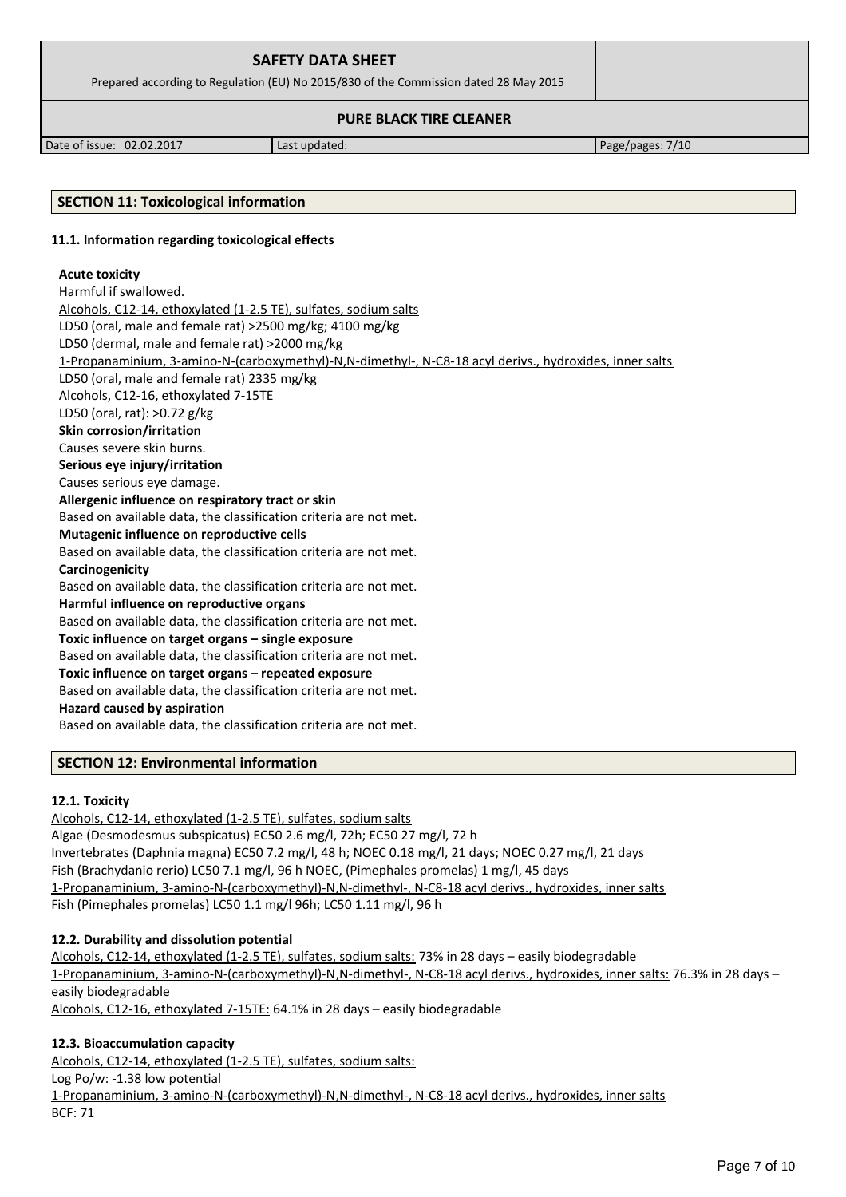| <b>SAFETY DATA SHEET</b>                                                              |  |
|---------------------------------------------------------------------------------------|--|
| Prepared according to Regulation (EU) No 2015/830 of the Commission dated 28 May 2015 |  |
| <b>PURE BLACK TIRE CLEANER</b>                                                        |  |

Date of issue: 02.02.2017 | Last updated: Page/pages: 7/10

## **SECTION 11: Toxicological information**

#### **11.1. Information regarding toxicological effects**

#### **Acute toxicity**

#### Harmful if swallowed.

Alcohols, C12-14, ethoxylated (1-2.5 TE), sulfates, sodium salts LD50 (oral, male and female rat) >2500 mg/kg; 4100 mg/kg LD50 (dermal, male and female rat) >2000 mg/kg 1-Propanaminium, 3-amino-N-(carboxymethyl)-N,N-dimethyl-, N-C8-18 acyl derivs., hydroxides, inner salts LD50 (oral, male and female rat) 2335 mg/kg Alcohols, C12-16, ethoxylated 7-15TE LD50 (oral, rat): >0.72 g/kg **Skin corrosion/irritation** Causes severe skin burns. **Serious eye injury/irritation** Causes serious eye damage. **Allergenic influence on respiratory tract or skin** Based on available data, the classification criteria are not met. **Mutagenic influence on reproductive cells** Based on available data, the classification criteria are not met. **Carcinogenicity** Based on available data, the classification criteria are not met. **Harmful influence on reproductive organs** Based on available data, the classification criteria are not met. **Toxic influence on target organs – single exposure** Based on available data, the classification criteria are not met. **Toxic influence on target organs – repeated exposure** Based on available data, the classification criteria are not met. **Hazard caused by aspiration** Based on available data, the classification criteria are not met.

#### **SECTION 12: Environmental information**

#### **12.1. Toxicity**

Alcohols, C12-14, ethoxylated (1-2.5 TE), sulfates, sodium salts Algae (Desmodesmus subspicatus) EC50 2.6 mg/l, 72h; EC50 27 mg/l, 72 h Invertebrates (Daphnia magna) EC50 7.2 mg/l, 48 h; NOEC 0.18 mg/l, 21 days; NOEC 0.27 mg/l, 21 days Fish (Brachydanio rerio) LC50 7.1 mg/l, 96 h NOEC, (Pimephales promelas) 1 mg/l, 45 days 1-Propanaminium, 3-amino-N-(carboxymethyl)-N,N-dimethyl-, N-C8-18 acyl derivs., hydroxides, inner salts Fish (Pimephales promelas) LC50 1.1 mg/l 96h; LC50 1.11 mg/l, 96 h

#### **12.2. Durability and dissolution potential**

Alcohols, C12-14, ethoxylated (1-2.5 TE), sulfates, sodium salts: 73% in 28 days - easily biodegradable 1-Propanaminium, 3-amino-N-(carboxymethyl)-N ,N-dimethyl-, N-C8-18 acyl derivs., hydroxides, inner salts: 76.3% in 28 days – easily biodegradable Alcohols, C12-16, ethoxylated 7-15TE: 64.1% in 28 days – easily biodegradable

#### **12.3. Bioaccumulation capacity**

Alcohols, C12-14, ethoxylated (1-2.5 TE), sulfates, sodium salts: Log Po/w: -1.38 low potential 1-Propanaminium, 3-amino-N-(carboxymethyl)-N ,N-dimethyl-, N-C8-18 acyl derivs., hydroxides, inner salts BCF: 71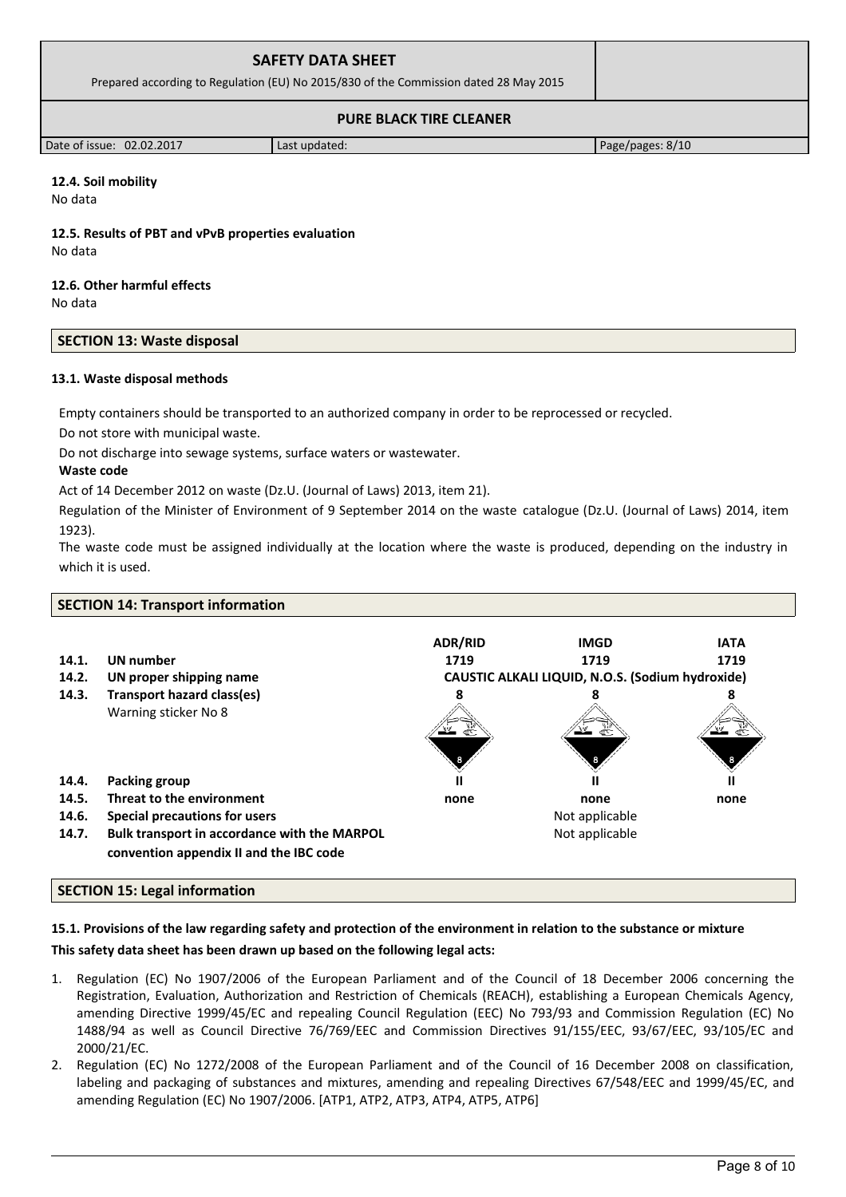| <b>SAFETY DATA SHEET</b><br>Prepared according to Regulation (EU) No 2015/830 of the Commission dated 28 May 2015 |  |
|-------------------------------------------------------------------------------------------------------------------|--|
| <b>PURE BLACK TIRE CLEANER</b>                                                                                    |  |

Date of issue: 02.02.2017 Last updated: Page/pages: 8/10

# **12.4. Soil mobility**

No data

**12.5. Results of PBT and vPvB properties evaluation** No data

# **12.6. Other harmful effects**

No data

# **SECTION 13: Waste disposal**

# **13.1. Waste disposal methods**

Empty containers should be transported to an authorized company in order to be reprocessed or recycled.

Do not store with municipal waste.

Do not discharge into sewage systems, surface waters or wastewater.

# **Waste code**

Act of 14 December 2012 on waste (Dz.U. (Journal of Laws) 2013, item 21).

Regulation of the Minister of Environment of 9 September 2014 on the waste catalogue (Dz.U. (Journal of Laws) 2014, item 1923).

The waste code must be assigned individually at the location where the waste is produced, depending on the industry in which it is used.

| <b>SECTION 14: Transport information</b> |                                                                                         |                                                  |                |             |
|------------------------------------------|-----------------------------------------------------------------------------------------|--------------------------------------------------|----------------|-------------|
|                                          |                                                                                         | <b>ADR/RID</b>                                   | <b>IMGD</b>    | <b>IATA</b> |
| 14.1.                                    | UN number                                                                               | 1719                                             | 1719           | 1719        |
| 14.2.                                    | UN proper shipping name                                                                 | CAUSTIC ALKALI LIQUID, N.O.S. (Sodium hydroxide) |                |             |
| 14.3.                                    | <b>Transport hazard class(es)</b>                                                       |                                                  |                |             |
|                                          | Warning sticker No 8                                                                    |                                                  |                |             |
| 14.4.                                    | Packing group                                                                           |                                                  |                |             |
| 14.5.                                    | Threat to the environment                                                               | none                                             | none           | none        |
| 14.6.                                    | Special precautions for users                                                           |                                                  | Not applicable |             |
| 14.7.                                    | Bulk transport in accordance with the MARPOL<br>convention appendix II and the IBC code |                                                  | Not applicable |             |
|                                          |                                                                                         |                                                  |                |             |

# **SECTION 15: Legal information**

# **15.1. Provisions of the law regarding safety and protection of the environment in relation to the substance or mixture**

# **This safety data sheet has been drawn up based on the following legal acts:**

- 1. Regulation (EC) No 1907/2006 of the European Parliament and of the Council of 18 December 2006 concerning the Registration, Evaluation, Authorization and Restriction of Chemicals (REACH), establishing a European Chemicals Agency, amending Directive 1999/45/EC and repealing Council Regulation (EEC) No 793/93 and Commission Regulation (EC) No 1488/94 as well as Council Directive 76/769/EEC and Commission Directives 91/155/EEC, 93/67/EEC, 93/105/EC and 2000/21/EC.
- 2. Regulation (EC) No 1272/2008 of the European Parliament and of the Council of 16 December 2008 on classification, labeling and packaging of substances and mixtures, amending and repealing Directives 67/548/EEC and 1999/45/EC, and amending Regulation (EC) No 1907/2006. [ATP1, ATP2, ATP3, ATP4, ATP5, ATP6]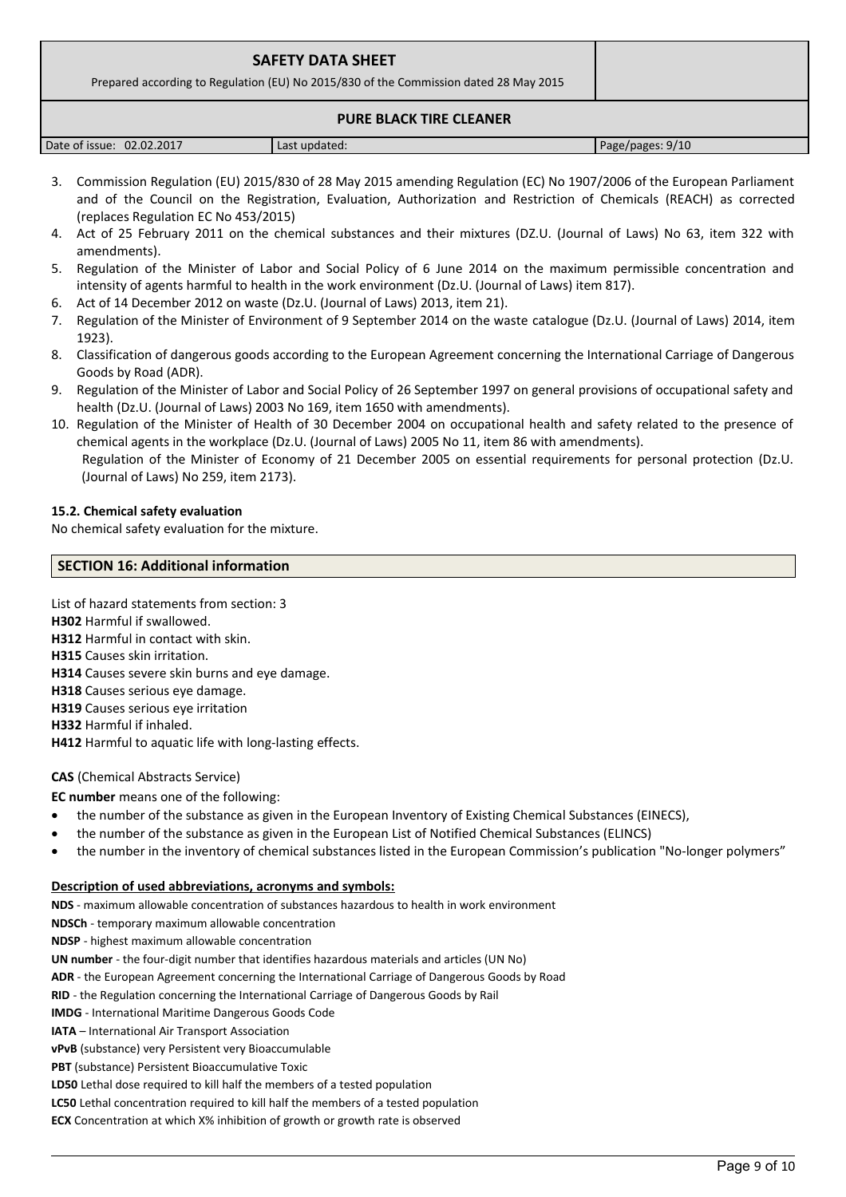| <b>SAFETY DATA SHEET</b>                                                              |  |
|---------------------------------------------------------------------------------------|--|
| Prepared according to Regulation (EU) No 2015/830 of the Commission dated 28 May 2015 |  |
| <b>PURE BLACK TIRE CLEANER</b>                                                        |  |

| 02.02.2017<br>Date of issue: | Last updated: | Page/pages: 9/10 |
|------------------------------|---------------|------------------|

- 3. Commission Regulation (EU) 2015/830 of 28 May 2015 amending Regulation (EC) No 1907/2006 of the European Parliament and of the Council on the Registration, Evaluation, Authorization and Restriction of Chemicals (REACH) as corrected (replaces Regulation EC No 453/2015)
- 4. Act of 25 February 2011 on the chemical substances and their mixtures (DZ.U. (Journal of Laws) No 63, item 322 with amendments).
- 5. Regulation of the Minister of Labor and Social Policy of 6 June 2014 on the maximum permissible concentration and intensity of agents harmful to health in the work environment (Dz.U. (Journal of Laws) item 817).
- 6. Act of 14 December 2012 on waste (Dz.U. (Journal of Laws) 2013, item 21).
- 7. Regulation of the Minister of Environment of 9 September 2014 on the waste catalogue (Dz.U. (Journal of Laws) 2014, item 1923).
- 8. Classification of dangerous goods according to the European Agreement concerning the International Carriage of Dangerous Goods by Road (ADR).
- 9. Regulation of the Minister of Labor and Social Policy of 26 September 1997 on general provisions of occupational safety and health (Dz.U. (Journal of Laws) 2003 No 169, item 1650 with amendments).
- 10. Regulation of the Minister of Health of 30 December 2004 on occupational health and safety related to the presence of chemical agents in the workplace (Dz.U. (Journal of Laws) 2005 No 11, item 86 with amendments). Regulation of the Minister of Economy of 21 December 2005 on essential requirements for personal protection (Dz.U. (Journal of Laws) No 259, item 2173).

## **15.2. Chemical safety evaluation**

No chemical safety evaluation for the mixture.

## **SECTION 16: Additional information**

List of hazard statements from section: 3

**H302** Harmful if swallowed.

**H312** Harmful in contact with skin.

- **H315** Causes skin irritation.
- **H314** Causes severe skin burns and eye damage.
- **H318** Causes serious eye damage.
- **H319** Causes serious eye irritation
- **H332** Harmful if inhaled.

**H412** Harmful to aquatic life with long-lasting effects.

## **CAS** (Chemical Abstracts Service)

## **EC number** means one of the following:

- the number of the substance as given in the European Inventory of Existing Chemical Substances (EINECS),
- the number of the substance as given in the European List of Notified Chemical Substances (ELINCS)
- the number in the inventory of chemical substances listed in the European Commission's publication "No-longer polymers"

#### **Description of used abbreviations, acronyms and symbols:**

**NDS** - maximum allowable concentration of substances hazardous to health in work environment

**NDSCh** - temporary maximum allowable concentration

**NDSP** - highest maximum allowable concentration

**UN number** - the four-digit number that identifies hazardous materials and articles (UN No)

**ADR** - the European Agreement concerning the International Carriage of Dangerous Goods by Road

**RID** - the Regulation concerning the International Carriage of Dangerous Goods by Rail

**IMDG** - International Maritime Dangerous Goods Code

**IATA** – International Air Transport Association

**vPvB** (substance) very Persistent very Bioaccumulable

**PBT** (substance) Persistent Bioaccumulative Toxic

**LD50** Lethal dose required to kill half the members of a tested population

**LC50** Lethal concentration required to kill half the members of a tested population

**ECX** Concentration at which X% inhibition of growth or growth rate is observed